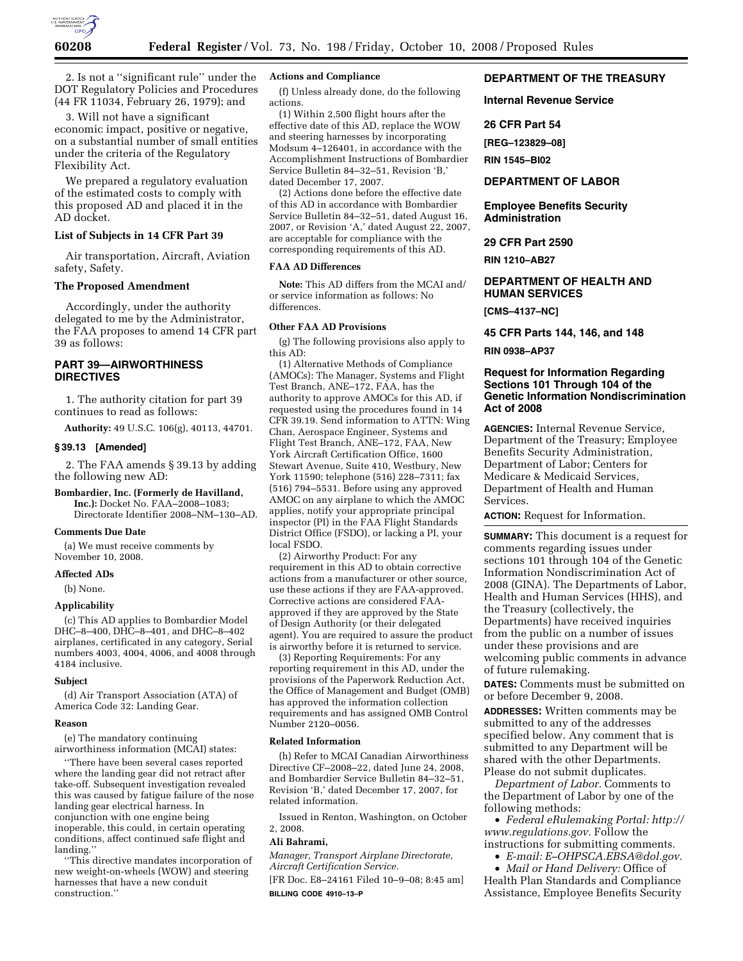

2. Is not a ''significant rule'' under the DOT Regulatory Policies and Procedures (44 FR 11034, February 26, 1979); and

3. Will not have a significant economic impact, positive or negative, on a substantial number of small entities under the criteria of the Regulatory Flexibility Act.

We prepared a regulatory evaluation of the estimated costs to comply with this proposed AD and placed it in the AD docket.

#### **List of Subjects in 14 CFR Part 39**

Air transportation, Aircraft, Aviation safety, Safety.

## **The Proposed Amendment**

Accordingly, under the authority delegated to me by the Administrator, the FAA proposes to amend 14 CFR part 39 as follows:

## **PART 39—AIRWORTHINESS DIRECTIVES**

1. The authority citation for part 39 continues to read as follows:

**Authority:** 49 U.S.C. 106(g), 40113, 44701.

#### **§ 39.13 [Amended]**

2. The FAA amends § 39.13 by adding the following new AD:

**Bombardier, Inc. (Formerly de Havilland, Inc.):** Docket No. FAA–2008–1083; Directorate Identifier 2008–NM–130–AD.

## **Comments Due Date**

(a) We must receive comments by November 10, 2008.

## **Affected ADs**

(b) None.

#### **Applicability**

(c) This AD applies to Bombardier Model DHC–8–400, DHC–8–401, and DHC–8–402 airplanes, certificated in any category, Serial numbers 4003, 4004, 4006, and 4008 through 4184 inclusive.

#### **Subject**

(d) Air Transport Association (ATA) of America Code 32: Landing Gear.

#### **Reason**

(e) The mandatory continuing airworthiness information (MCAI) states:

''There have been several cases reported where the landing gear did not retract after take-off. Subsequent investigation revealed this was caused by fatigue failure of the nose landing gear electrical harness. In conjunction with one engine being inoperable, this could, in certain operating conditions, affect continued safe flight and landing.''

''This directive mandates incorporation of new weight-on-wheels (WOW) and steering harnesses that have a new conduit construction.''

#### **Actions and Compliance**

(f) Unless already done, do the following actions.

(1) Within 2,500 flight hours after the effective date of this AD, replace the WOW and steering harnesses by incorporating Modsum 4–126401, in accordance with the Accomplishment Instructions of Bombardier Service Bulletin 84–32–51, Revision 'B,' dated December 17, 2007.

(2) Actions done before the effective date of this AD in accordance with Bombardier Service Bulletin 84–32–51, dated August 16, 2007, or Revision 'A,' dated August 22, 2007, are acceptable for compliance with the corresponding requirements of this AD.

# **FAA AD Differences**

**Note:** This AD differs from the MCAI and/ or service information as follows: No differences.

## **Other FAA AD Provisions**

(g) The following provisions also apply to this AD:

(1) Alternative Methods of Compliance (AMOCs): The Manager, Systems and Flight Test Branch, ANE–172, FAA, has the authority to approve AMOCs for this AD, if requested using the procedures found in 14 CFR 39.19. Send information to ATTN: Wing Chan, Aerospace Engineer, Systems and Flight Test Branch, ANE–172, FAA, New York Aircraft Certification Office, 1600 Stewart Avenue, Suite 410, Westbury, New York 11590; telephone (516) 228–7311; fax (516) 794–5531. Before using any approved AMOC on any airplane to which the AMOC applies, notify your appropriate principal inspector (PI) in the FAA Flight Standards District Office (FSDO), or lacking a PI, your local FSDO.

(2) Airworthy Product: For any requirement in this AD to obtain corrective actions from a manufacturer or other source, use these actions if they are FAA-approved. Corrective actions are considered FAAapproved if they are approved by the State of Design Authority (or their delegated agent). You are required to assure the product is airworthy before it is returned to service.

(3) Reporting Requirements: For any reporting requirement in this AD, under the provisions of the Paperwork Reduction Act, the Office of Management and Budget (OMB) has approved the information collection requirements and has assigned OMB Control Number 2120–0056.

#### **Related Information**

(h) Refer to MCAI Canadian Airworthiness Directive CF–2008–22, dated June 24, 2008, and Bombardier Service Bulletin 84–32–51, Revision 'B,' dated December 17, 2007, for related information.

Issued in Renton, Washington, on October 2, 2008.

## **Ali Bahrami,**

*Manager, Transport Airplane Directorate, Aircraft Certification Service.* 

[FR Doc. E8–24161 Filed 10–9–08; 8:45 am] **BILLING CODE 4910–13–P** 

## **DEPARTMENT OF THE TREASURY**

**Internal Revenue Service** 

## **26 CFR Part 54**

**[REG–123829–08]** 

**RIN 1545–BI02** 

#### **DEPARTMENT OF LABOR**

**Employee Benefits Security Administration** 

## **29 CFR Part 2590**

**RIN 1210–AB27** 

# **DEPARTMENT OF HEALTH AND HUMAN SERVICES**

**[CMS–4137–NC]** 

**45 CFR Parts 144, 146, and 148** 

#### **RIN 0938–AP37**

## **Request for Information Regarding Sections 101 Through 104 of the Genetic Information Nondiscrimination Act of 2008**

**AGENCIES:** Internal Revenue Service, Department of the Treasury; Employee Benefits Security Administration, Department of Labor; Centers for Medicare & Medicaid Services, Department of Health and Human Services.

**ACTION:** Request for Information.

**SUMMARY:** This document is a request for comments regarding issues under sections 101 through 104 of the Genetic Information Nondiscrimination Act of 2008 (GINA). The Departments of Labor, Health and Human Services (HHS), and the Treasury (collectively, the Departments) have received inquiries from the public on a number of issues under these provisions and are welcoming public comments in advance of future rulemaking.

**DATES:** Comments must be submitted on or before December 9, 2008.

**ADDRESSES:** Written comments may be submitted to any of the addresses specified below. Any comment that is submitted to any Department will be shared with the other Departments. Please do not submit duplicates.

*Department of Labor.* Comments to the Department of Labor by one of the following methods:

• *Federal eRulemaking Portal: http:// www.regulations.gov.* Follow the instructions for submitting comments.

• *E-mail: E–OHPSCA.EBSA@dol.gov.* 

• *Mail or Hand Delivery:* Office of Health Plan Standards and Compliance Assistance, Employee Benefits Security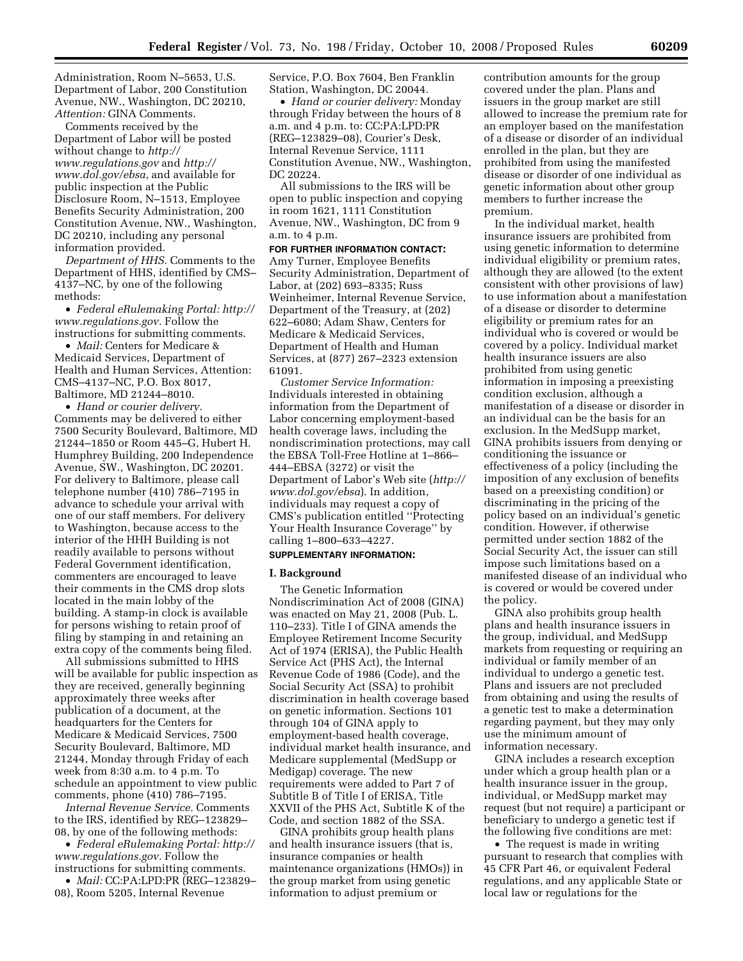Administration, Room N–5653, U.S. Department of Labor, 200 Constitution Avenue, NW., Washington, DC 20210, *Attention:* GINA Comments.

Comments received by the Department of Labor will be posted without change to *http:// www.regulations.gov* and *http:// www.dol.gov/ebsa*, and available for public inspection at the Public Disclosure Room, N–1513, Employee Benefits Security Administration, 200 Constitution Avenue, NW., Washington, DC 20210, including any personal information provided.

*Department of HHS.* Comments to the Department of HHS, identified by CMS– 4137–NC, by one of the following methods:

• *Federal eRulemaking Portal: http:// www.regulations.gov.* Follow the instructions for submitting comments.

• *Mail:* Centers for Medicare & Medicaid Services, Department of Health and Human Services, Attention: CMS–4137–NC, P.O. Box 8017, Baltimore, MD 21244–8010.

• *Hand or courier delivery.*  Comments may be delivered to either 7500 Security Boulevard, Baltimore, MD 21244–1850 or Room 445–G, Hubert H. Humphrey Building, 200 Independence Avenue, SW., Washington, DC 20201. For delivery to Baltimore, please call telephone number (410) 786–7195 in advance to schedule your arrival with one of our staff members. For delivery to Washington, because access to the interior of the HHH Building is not readily available to persons without Federal Government identification, commenters are encouraged to leave their comments in the CMS drop slots located in the main lobby of the building. A stamp-in clock is available for persons wishing to retain proof of filing by stamping in and retaining an extra copy of the comments being filed.

All submissions submitted to HHS will be available for public inspection as they are received, generally beginning approximately three weeks after publication of a document, at the headquarters for the Centers for Medicare & Medicaid Services, 7500 Security Boulevard, Baltimore, MD 21244, Monday through Friday of each week from 8:30 a.m. to 4 p.m. To schedule an appointment to view public comments, phone (410) 786–7195.

*Internal Revenue Service.* Comments to the IRS, identified by REG–123829– 08, by one of the following methods:

• *Federal eRulemaking Portal: http:// www.regulations.gov.* Follow the instructions for submitting comments.

• *Mail:* CC:PA:LPD:PR (REG–123829– 08), Room 5205, Internal Revenue

Service, P.O. Box 7604, Ben Franklin Station, Washington, DC 20044.

• *Hand or courier delivery:* Monday through Friday between the hours of 8 a.m. and 4 p.m. to: CC:PA:LPD:PR (REG–123829–08), Courier's Desk, Internal Revenue Service, 1111 Constitution Avenue, NW., Washington, DC 20224.

All submissions to the IRS will be open to public inspection and copying in room 1621, 1111 Constitution Avenue, NW., Washington, DC from 9 a.m. to 4 p.m.

**FOR FURTHER INFORMATION CONTACT:**  Amy Turner, Employee Benefits Security Administration, Department of Labor, at (202) 693–8335; Russ Weinheimer, Internal Revenue Service, Department of the Treasury, at (202) 622–6080; Adam Shaw, Centers for Medicare & Medicaid Services, Department of Health and Human Services, at (877) 267–2323 extension 61091.

*Customer Service Information:*  Individuals interested in obtaining information from the Department of Labor concerning employment-based health coverage laws, including the nondiscrimination protections, may call the EBSA Toll-Free Hotline at 1–866– 444–EBSA (3272) or visit the Department of Labor's Web site (*http:// www.dol.gov/ebsa*). In addition, individuals may request a copy of CMS's publication entitled ''Protecting Your Health Insurance Coverage'' by calling 1–800–633–4227.

## **SUPPLEMENTARY INFORMATION:**

#### **I. Background**

The Genetic Information Nondiscrimination Act of 2008 (GINA) was enacted on May 21, 2008 (Pub. L. 110–233). Title I of GINA amends the Employee Retirement Income Security Act of 1974 (ERISA), the Public Health Service Act (PHS Act), the Internal Revenue Code of 1986 (Code), and the Social Security Act (SSA) to prohibit discrimination in health coverage based on genetic information. Sections 101 through 104 of GINA apply to employment-based health coverage, individual market health insurance, and Medicare supplemental (MedSupp or Medigap) coverage. The new requirements were added to Part 7 of Subtitle B of Title I of ERISA, Title XXVII of the PHS Act, Subtitle K of the Code, and section 1882 of the SSA.

GINA prohibits group health plans and health insurance issuers (that is, insurance companies or health maintenance organizations (HMOs)) in the group market from using genetic information to adjust premium or

contribution amounts for the group covered under the plan. Plans and issuers in the group market are still allowed to increase the premium rate for an employer based on the manifestation of a disease or disorder of an individual enrolled in the plan, but they are prohibited from using the manifested disease or disorder of one individual as genetic information about other group members to further increase the premium.

In the individual market, health insurance issuers are prohibited from using genetic information to determine individual eligibility or premium rates, although they are allowed (to the extent consistent with other provisions of law) to use information about a manifestation of a disease or disorder to determine eligibility or premium rates for an individual who is covered or would be covered by a policy. Individual market health insurance issuers are also prohibited from using genetic information in imposing a preexisting condition exclusion, although a manifestation of a disease or disorder in an individual can be the basis for an exclusion. In the MedSupp market, GINA prohibits issuers from denying or conditioning the issuance or effectiveness of a policy (including the imposition of any exclusion of benefits based on a preexisting condition) or discriminating in the pricing of the policy based on an individual's genetic condition. However, if otherwise permitted under section 1882 of the Social Security Act, the issuer can still impose such limitations based on a manifested disease of an individual who is covered or would be covered under the policy.

GINA also prohibits group health plans and health insurance issuers in the group, individual, and MedSupp markets from requesting or requiring an individual or family member of an individual to undergo a genetic test. Plans and issuers are not precluded from obtaining and using the results of a genetic test to make a determination regarding payment, but they may only use the minimum amount of information necessary.

GINA includes a research exception under which a group health plan or a health insurance issuer in the group, individual, or MedSupp market may request (but not require) a participant or beneficiary to undergo a genetic test if the following five conditions are met:

• The request is made in writing pursuant to research that complies with 45 CFR Part 46, or equivalent Federal regulations, and any applicable State or local law or regulations for the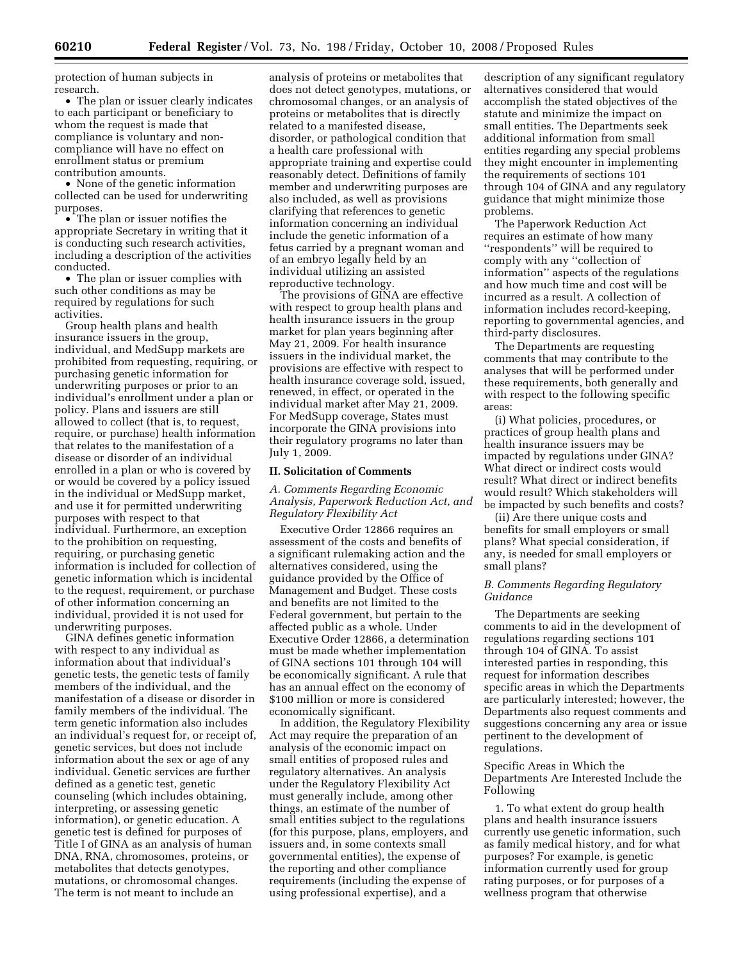protection of human subjects in research.

• The plan or issuer clearly indicates to each participant or beneficiary to whom the request is made that compliance is voluntary and noncompliance will have no effect on enrollment status or premium contribution amounts.

• None of the genetic information collected can be used for underwriting purposes.

• The plan or issuer notifies the appropriate Secretary in writing that it is conducting such research activities, including a description of the activities conducted.

• The plan or issuer complies with such other conditions as may be required by regulations for such activities.

Group health plans and health insurance issuers in the group, individual, and MedSupp markets are prohibited from requesting, requiring, or purchasing genetic information for underwriting purposes or prior to an individual's enrollment under a plan or policy. Plans and issuers are still allowed to collect (that is, to request, require, or purchase) health information that relates to the manifestation of a disease or disorder of an individual enrolled in a plan or who is covered by or would be covered by a policy issued in the individual or MedSupp market, and use it for permitted underwriting purposes with respect to that individual. Furthermore, an exception to the prohibition on requesting, requiring, or purchasing genetic information is included for collection of genetic information which is incidental to the request, requirement, or purchase of other information concerning an individual, provided it is not used for underwriting purposes.

GINA defines genetic information with respect to any individual as information about that individual's genetic tests, the genetic tests of family members of the individual, and the manifestation of a disease or disorder in family members of the individual. The term genetic information also includes an individual's request for, or receipt of, genetic services, but does not include information about the sex or age of any individual. Genetic services are further defined as a genetic test, genetic counseling (which includes obtaining, interpreting, or assessing genetic information), or genetic education. A genetic test is defined for purposes of Title I of GINA as an analysis of human DNA, RNA, chromosomes, proteins, or metabolites that detects genotypes, mutations, or chromosomal changes. The term is not meant to include an

analysis of proteins or metabolites that does not detect genotypes, mutations, or chromosomal changes, or an analysis of proteins or metabolites that is directly related to a manifested disease, disorder, or pathological condition that a health care professional with appropriate training and expertise could reasonably detect. Definitions of family member and underwriting purposes are also included, as well as provisions clarifying that references to genetic information concerning an individual include the genetic information of a fetus carried by a pregnant woman and of an embryo legally held by an individual utilizing an assisted reproductive technology.

The provisions of GINA are effective with respect to group health plans and health insurance issuers in the group market for plan years beginning after May 21, 2009. For health insurance issuers in the individual market, the provisions are effective with respect to health insurance coverage sold, issued, renewed, in effect, or operated in the individual market after May 21, 2009. For MedSupp coverage, States must incorporate the GINA provisions into their regulatory programs no later than July 1, 2009.

## **II. Solicitation of Comments**

*A. Comments Regarding Economic Analysis, Paperwork Reduction Act, and Regulatory Flexibility Act* 

Executive Order 12866 requires an assessment of the costs and benefits of a significant rulemaking action and the alternatives considered, using the guidance provided by the Office of Management and Budget. These costs and benefits are not limited to the Federal government, but pertain to the affected public as a whole. Under Executive Order 12866, a determination must be made whether implementation of GINA sections 101 through 104 will be economically significant. A rule that has an annual effect on the economy of \$100 million or more is considered economically significant.

In addition, the Regulatory Flexibility Act may require the preparation of an analysis of the economic impact on small entities of proposed rules and regulatory alternatives. An analysis under the Regulatory Flexibility Act must generally include, among other things, an estimate of the number of small entities subject to the regulations (for this purpose, plans, employers, and issuers and, in some contexts small governmental entities), the expense of the reporting and other compliance requirements (including the expense of using professional expertise), and a

description of any significant regulatory alternatives considered that would accomplish the stated objectives of the statute and minimize the impact on small entities. The Departments seek additional information from small entities regarding any special problems they might encounter in implementing the requirements of sections 101 through 104 of GINA and any regulatory guidance that might minimize those problems.

The Paperwork Reduction Act requires an estimate of how many ''respondents'' will be required to comply with any ''collection of information'' aspects of the regulations and how much time and cost will be incurred as a result. A collection of information includes record-keeping, reporting to governmental agencies, and third-party disclosures.

The Departments are requesting comments that may contribute to the analyses that will be performed under these requirements, both generally and with respect to the following specific areas:

(i) What policies, procedures, or practices of group health plans and health insurance issuers may be impacted by regulations under GINA? What direct or indirect costs would result? What direct or indirect benefits would result? Which stakeholders will be impacted by such benefits and costs?

(ii) Are there unique costs and benefits for small employers or small plans? What special consideration, if any, is needed for small employers or small plans?

## *B. Comments Regarding Regulatory Guidance*

The Departments are seeking comments to aid in the development of regulations regarding sections 101 through 104 of GINA. To assist interested parties in responding, this request for information describes specific areas in which the Departments are particularly interested; however, the Departments also request comments and suggestions concerning any area or issue pertinent to the development of regulations.

# Specific Areas in Which the Departments Are Interested Include the Following

1. To what extent do group health plans and health insurance issuers currently use genetic information, such as family medical history, and for what purposes? For example, is genetic information currently used for group rating purposes, or for purposes of a wellness program that otherwise